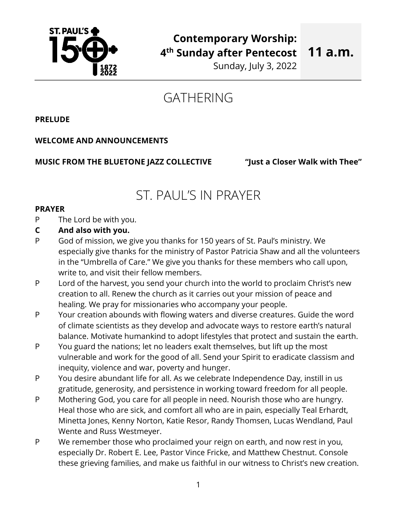

**11 a.m.**

Sunday, July 3, 2022

# GATHERING

**PRELUDE**

# **WELCOME AND ANNOUNCEMENTS**

# **MUSIC FROM THE BLUETONE JAZZ COLLECTIVE "Just a Closer Walk with Thee"**

# ST. PAUL'S IN PRAYER

## **PRAYER**

- P The Lord be with you.
- **C And also with you.**
- P God of mission, we give you thanks for 150 years of St. Paul's ministry. We especially give thanks for the ministry of Pastor Patricia Shaw and all the volunteers in the "Umbrella of Care." We give you thanks for these members who call upon, write to, and visit their fellow members.
- P Lord of the harvest, you send your church into the world to proclaim Christ's new creation to all. Renew the church as it carries out your mission of peace and healing. We pray for missionaries who accompany your people.
- P Your creation abounds with flowing waters and diverse creatures. Guide the word of climate scientists as they develop and advocate ways to restore earth's natural balance. Motivate humankind to adopt lifestyles that protect and sustain the earth.
- P You guard the nations; let no leaders exalt themselves, but lift up the most vulnerable and work for the good of all. Send your Spirit to eradicate classism and inequity, violence and war, poverty and hunger.
- P You desire abundant life for all. As we celebrate Independence Day, instill in us gratitude, generosity, and persistence in working toward freedom for all people.
- P Mothering God, you care for all people in need. Nourish those who are hungry. Heal those who are sick, and comfort all who are in pain, especially Teal Erhardt, Minetta Jones, Kenny Norton, Katie Resor, Randy Thomsen, Lucas Wendland, Paul Wente and Russ Westmeyer.
- P We remember those who proclaimed your reign on earth, and now rest in you, especially Dr. Robert E. Lee, Pastor Vince Fricke, and Matthew Chestnut. Console these grieving families, and make us faithful in our witness to Christ's new creation.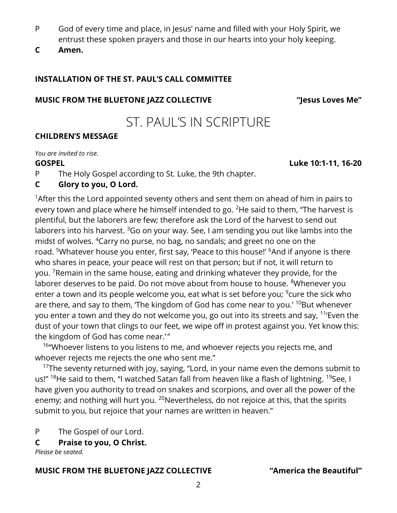- P God of every time and place, in Jesus' name and filled with your Holy Spirit, we entrust these spoken prayers and those in our hearts into your holy keeping.
- **C Amen.**

# **INSTALLATION OF THE ST. PAUL'S CALL COMMITTEE**

# **MUSIC FROM THE BLUETONE JAZZ COLLECTIVE "Jesus Loves Me"**

# ST. PAUL'S IN SCRIPTURE

# **CHILDREN'S MESSAGE**

*You are invited to rise.*

**GOSPEL Luke 10:1-11, 16-20**

P The Holy Gospel according to St. Luke, the 9th chapter.

# **C Glory to you, O Lord.**

<sup>1</sup> After this the Lord appointed seventy others and sent them on ahead of him in pairs to every town and place where he himself intended to go.  $2$ He said to them, "The harvest is plentiful, but the laborers are few; therefore ask the Lord of the harvest to send out laborers into his harvest.  $360$  on your way. See, I am sending you out like lambs into the midst of wolves. <sup>4</sup>Carry no purse, no bag, no sandals; and greet no one on the road. <sup>5</sup>Whatever house you enter, first say, 'Peace to this house!' <sup>6</sup>And if anyone is there who shares in peace, your peace will rest on that person; but if not, it will return to you. <sup>7</sup>Remain in the same house, eating and drinking whatever they provide, for the laborer deserves to be paid. Do not move about from house to house. <sup>8</sup>Whenever you enter a town and its people welcome you, eat what is set before you; <sup>9</sup>cure the sick who are there, and say to them, 'The kingdom of God has come near to you.' <sup>10</sup>But whenever you enter a town and they do not welcome you, go out into its streets and say, <sup>11</sup>'Even the dust of your town that clings to our feet, we wipe off in protest against you. Yet know this: the kingdom of God has come near."

<sup>16</sup> "Whoever listens to you listens to me, and whoever rejects you rejects me, and whoever rejects me rejects the one who sent me."

<sup>17</sup>The seventy returned with joy, saying, "Lord, in your name even the demons submit to us!" <sup>18</sup>He said to them, "I watched Satan fall from heaven like a flash of lightning. <sup>19</sup>See, I have given you authority to tread on snakes and scorpions, and over all the power of the enemy; and nothing will hurt you. <sup>20</sup>Nevertheless, do not rejoice at this, that the spirits submit to you, but rejoice that your names are written in heaven."

P The Gospel of our Lord.

**C Praise to you, O Christ.**

*Please be seated.*

# **MUSIC FROM THE BLUETONE JAZZ COLLECTIVE "America the Beautiful"**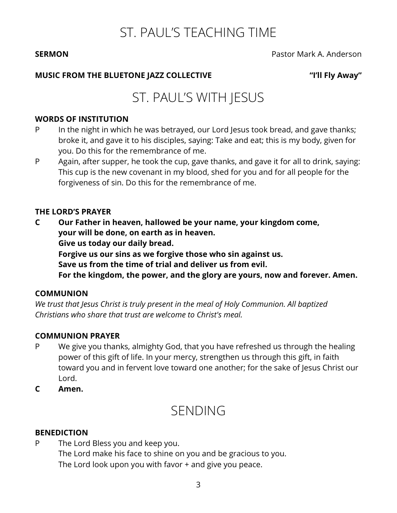# ST. PAUL'S TEACHING TIME

**SERMON** Pastor Mark A. Anderson

# **MUSIC FROM THE BLUETONE JAZZ COLLECTIVE "I'll Fly Away"**

# ST. PAUL'S WITH JESUS

## **WORDS OF INSTITUTION**

- P In the night in which he was betrayed, our Lord Jesus took bread, and gave thanks; broke it, and gave it to his disciples, saying: Take and eat; this is my body, given for you. Do this for the remembrance of me.
- P Again, after supper, he took the cup, gave thanks, and gave it for all to drink, saying: This cup is the new covenant in my blood, shed for you and for all people for the forgiveness of sin. Do this for the remembrance of me.

## **THE LORD'S PRAYER**

- **C Our Father in heaven, hallowed be your name, your kingdom come, your will be done, on earth as in heaven. Give us today our daily bread. Forgive us our sins as we forgive those who sin against us.**
	- **Save us from the time of trial and deliver us from evil.**

**For the kingdom, the power, and the glory are yours, now and forever. Amen.**

# **COMMUNION**

*We trust that Jesus Christ is truly present in the meal of Holy Communion. All baptized Christians who share that trust are welcome to Christ's meal.* 

# **COMMUNION PRAYER**

- P We give you thanks, almighty God, that you have refreshed us through the healing power of this gift of life. In your mercy, strengthen us through this gift, in faith toward you and in fervent love toward one another; for the sake of Jesus Christ our Lord.
- **C Amen.**

# SENDING

# **BENEDICTION**

P The Lord Bless you and keep you. The Lord make his face to shine on you and be gracious to you. The Lord look upon you with favor + and give you peace.